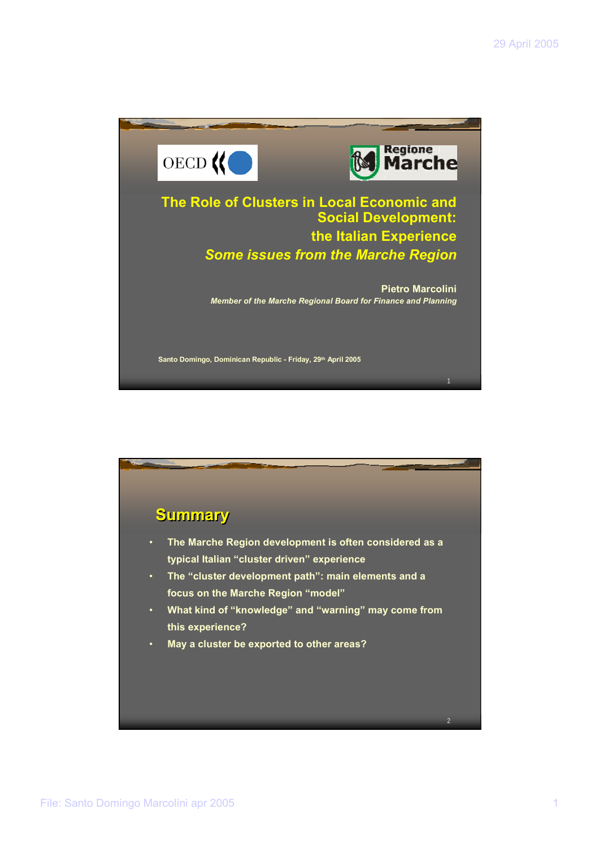

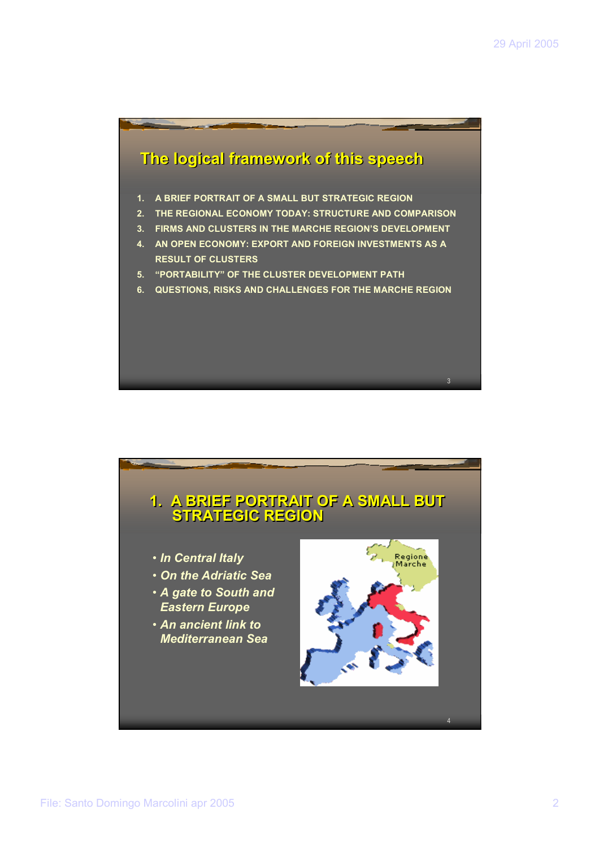

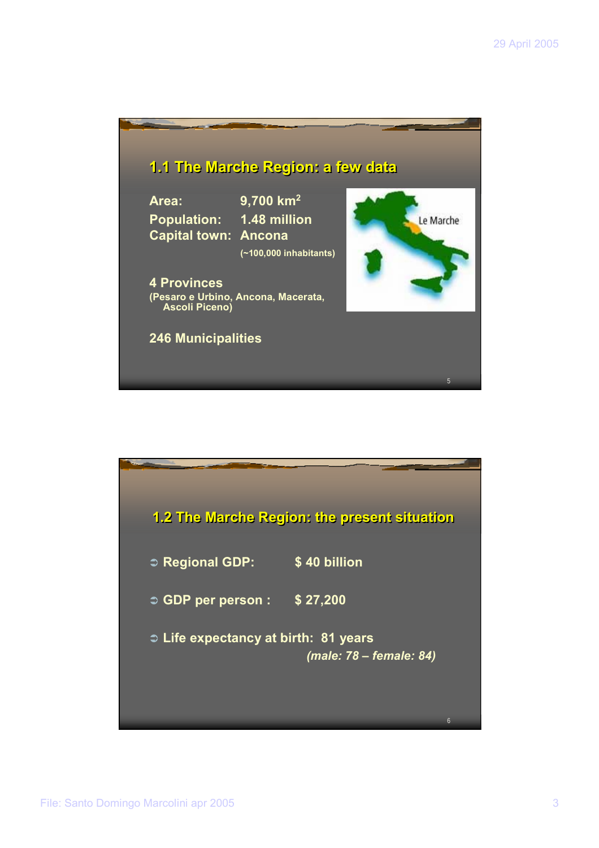

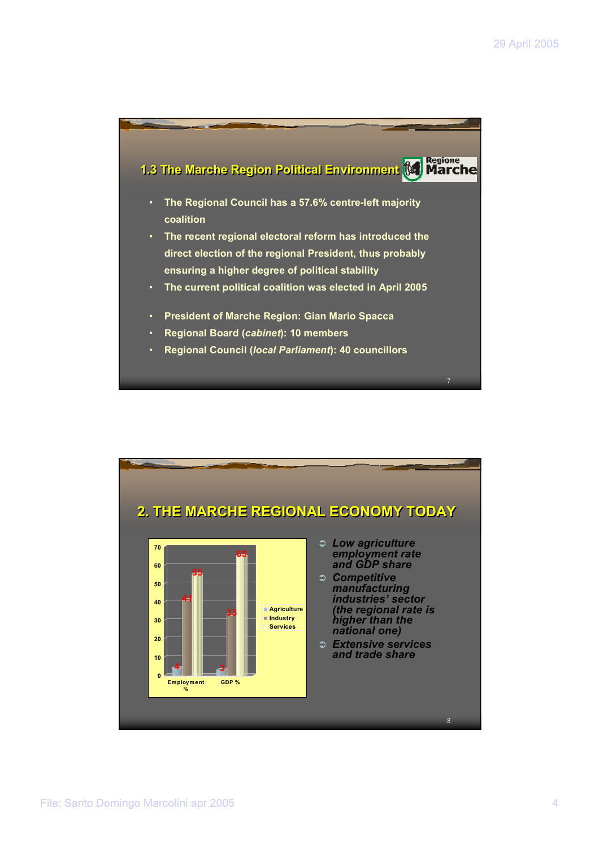

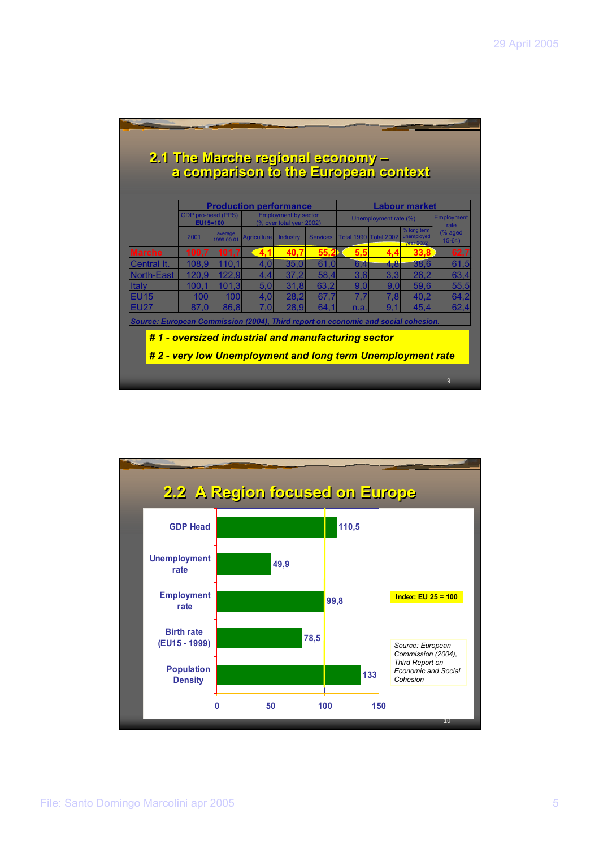|                                                                                   |                                                                                    |                       | a comparison to the European context               |                                             |                 | 2.1 The Marche regional economy - |                       |                                               |                             |  |
|-----------------------------------------------------------------------------------|------------------------------------------------------------------------------------|-----------------------|----------------------------------------------------|---------------------------------------------|-----------------|-----------------------------------|-----------------------|-----------------------------------------------|-----------------------------|--|
|                                                                                   | <b>Production performance</b><br>GDP pro-head (PPS)<br><b>Employment by sector</b> |                       |                                                    |                                             |                 |                                   |                       | <b>Labour market</b>                          | <b>Employment</b>           |  |
|                                                                                   | EU15=100<br>2001                                                                   | average<br>1999-00-01 | <b>Agriculture</b>                                 | (% over total year 2002)<br><b>Industry</b> | <b>Services</b> | <b>Total 1990 Total 2002</b>      | Unemployment rate (%) | % long term<br>unemploved<br><b>year 2002</b> | rate<br>(% aged<br>$15-64)$ |  |
| <b>Marche</b>                                                                     | 100.7                                                                              | 101.7                 | 4.1                                                | 40.7                                        | 55.2            | 5.5                               | 4.4                   | 33.8                                          | 62,7                        |  |
| Central It.                                                                       | 108.9                                                                              | 110.1                 | 4.0                                                | 35.0                                        | 61.0            | 6,4                               | 4.8                   | 38.6                                          | 61.5                        |  |
| North-East                                                                        | 120.9                                                                              | 122,9                 | 4,4                                                | 37.2                                        | 58,4            | 3.6                               | 3.3                   | 26,2                                          | 63,4                        |  |
| <b>Italy</b>                                                                      | 100.1                                                                              | 101.3                 | 5,0                                                | 31.8                                        | 63,2            | 9.0                               | 9.0                   | 59,6                                          | 55,5                        |  |
| <b>EU15</b>                                                                       | 100                                                                                | 100                   | 4.0                                                | 28,2                                        | 67.7            | 7.7                               | 7.8                   | 40,2                                          | 64,2                        |  |
| <b>EU27</b>                                                                       | 87.0                                                                               | 86.8                  | 7.0                                                | 28.9                                        | 64.1            | n.a.                              | 9 <sub>1</sub>        | 45.4                                          | 62,4                        |  |
| Source: European Commission (2004), Third report on economic and social cohesion. |                                                                                    |                       |                                                    |                                             |                 |                                   |                       |                                               |                             |  |
|                                                                                   |                                                                                    |                       | #1 - oversized industrial and manufacturing sector |                                             |                 |                                   |                       |                                               |                             |  |
|                                                                                   |                                                                                    |                       |                                                    |                                             |                 |                                   |                       |                                               |                             |  |

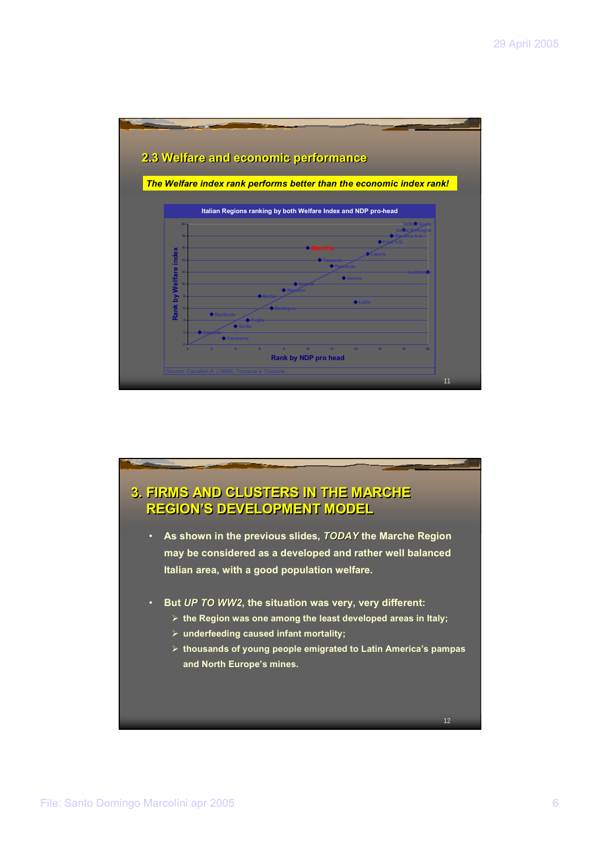

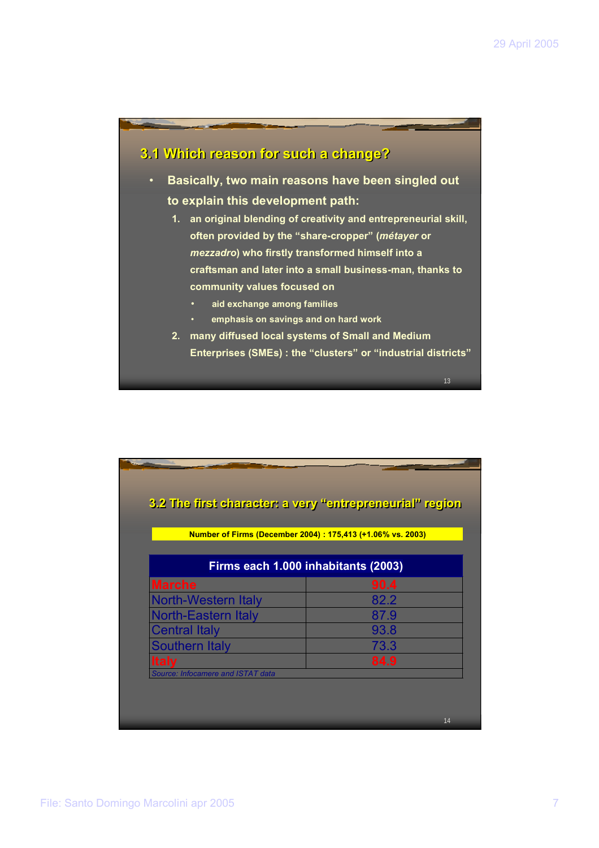# **3.1 Which reason for such a change? 3.1 Which reason for such a change?** • **Basically, two main reasons have been singled out to explain this development path: 1. an original blending of creativity and entrepreneurial skill, often provided by the "share-cropper" (***métayer* **or**  *mezzadro***) who firstly transformed himself into a craftsman and later into a small business-man, thanks to community values focused on**  • **aid exchange among families** • **emphasis on savings and on hard work 2. many diffused local systems of Small and Medium Enterprises (SMEs) : the "clusters" or "industrial districts"**

| 3.2 The first character: a very "entrepreneurial" region    |      |
|-------------------------------------------------------------|------|
| Number of Firms (December 2004) : 175,413 (+1.06% vs. 2003) |      |
| Firms each 1.000 inhabitants (2003)                         |      |
| <b>Marche</b>                                               | 90.4 |
| <b>North-Western Italy</b>                                  | 82.2 |
| <b>North-Eastern Italy</b>                                  | 87.9 |
| <b>Central Italy</b>                                        | 93.8 |
| <b>Southern Italy</b>                                       | 73.3 |
| <b>Italy</b>                                                | 84.9 |
| Source: Infocamere and ISTAT data                           |      |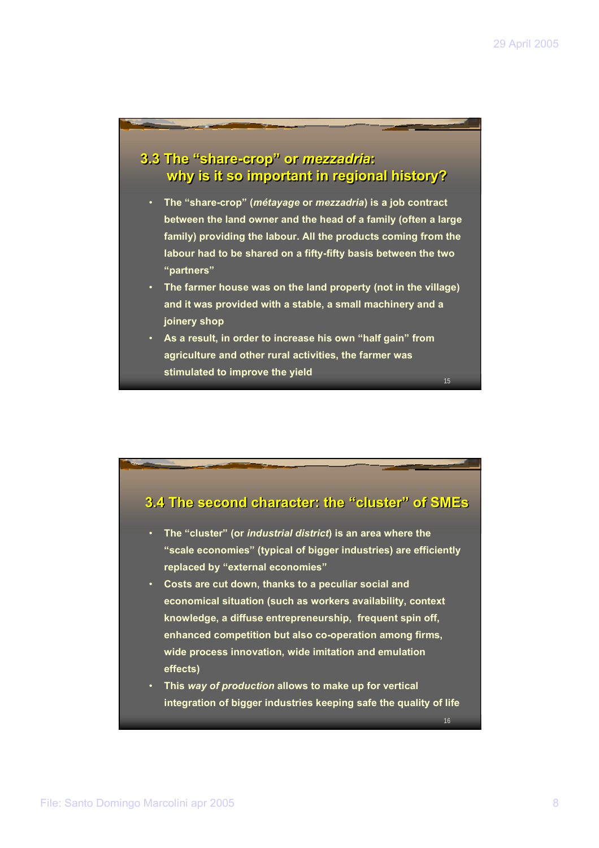16

## **3.3 The "share-crop" or** *mezzadria***: 3.3 The "share-crop" or** *mezzadria***: why is it so important in regional history? why is it so important in regional history?**

- **The "share-crop" (***métayage* **or** *mezzadria***) is a job contract between the land owner and the head of a family (often a large family) providing the labour. All the products coming from the labour had to be shared on a fifty-fifty basis between the two "partners"**
- **The farmer house was on the land property (not in the village) and it was provided with a stable, a small machinery and a joinery shop**
- **As a result, in order to increase his own "half gain" from agriculture and other rural activities, the farmer was stimulated to improve the yield**



- **The "cluster" (or** *industrial district***) is an area where the "scale economies" (typical of bigger industries) are efficiently replaced by "external economies"**
- **Costs are cut down, thanks to a peculiar social and economical situation (such as workers availability, context knowledge, a diffuse entrepreneurship, frequent spin off, enhanced competition but also co-operation among firms, wide process innovation, wide imitation and emulation effects)**
- **This** *way of production* **allows to make up for vertical integration of bigger industries keeping safe the quality of life**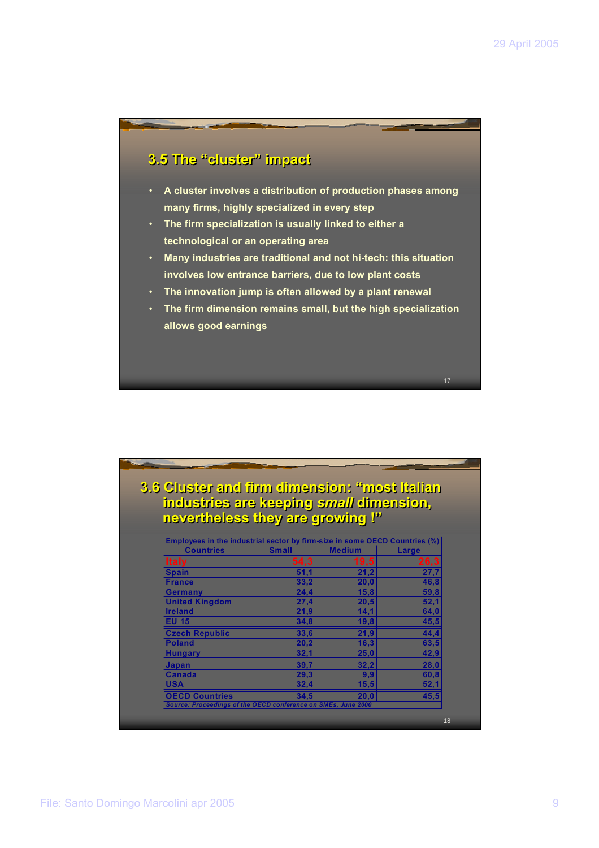## **3.5 The "cluster" impact 3.5 The "cluster" impact**

- **A cluster involves a distribution of production phases among many firms, highly specialized in every step**
- **The firm specialization is usually linked to either a technological or an operating area**
- **Many industries are traditional and not hi-tech: this situation involves low entrance barriers, due to low plant costs**
- **The innovation jump is often allowed by a plant renewal**
- **The firm dimension remains small, but the high specialization allows good earnings**

| industries are keeping small dimension,                                    |              | 3.6 Cluster and firm dimension: "most lialian |       |
|----------------------------------------------------------------------------|--------------|-----------------------------------------------|-------|
| nevertheless they are growing !"                                           |              |                                               |       |
|                                                                            |              |                                               |       |
| Employees in the industrial sector by firm-size in some OECD Countries (%) |              |                                               |       |
| <b>Countries</b>                                                           | <b>Small</b> | <b>Medium</b>                                 | Large |
| <b>Italy</b>                                                               | 54,3         | 19,5                                          | 26,3  |
| <b>Spain</b>                                                               | 51,1         | 21,2                                          | 27,7  |
| <b>France</b>                                                              | 33,2         | 20,0                                          | 46,8  |
| <b>Germany</b>                                                             | 24,4         | 15,8                                          | 59,8  |
| <b>United Kingdom</b>                                                      | 27,4         | 20,5                                          | 52,1  |
| <b>Ireland</b>                                                             | 21,9         | 14,1                                          | 64,0  |
| <b>EU 15</b>                                                               | 34,8         | 19,8                                          | 45,5  |
| <b>Czech Republic</b>                                                      | 33,6         | 21,9                                          | 44,4  |
| <b>Poland</b>                                                              | 20,2         | 16,3                                          | 63,5  |
| <b>Hungary</b>                                                             | 32,1         | 25,0                                          | 42,9  |
| <b>Japan</b>                                                               | 39,7         | 32,2                                          | 28,0  |
| <b>Canada</b>                                                              | 29,3         | 9,9                                           | 60,8  |
| <b>USA</b>                                                                 | 32,4         | 15,5                                          | 52,1  |
| <b>OECD Countries</b>                                                      | 34,5         | 20,0                                          | 45,5  |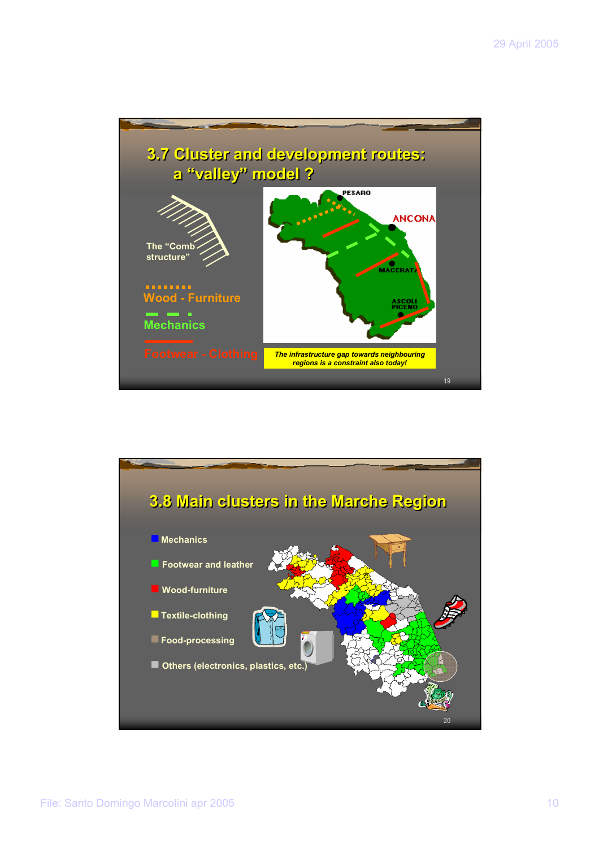

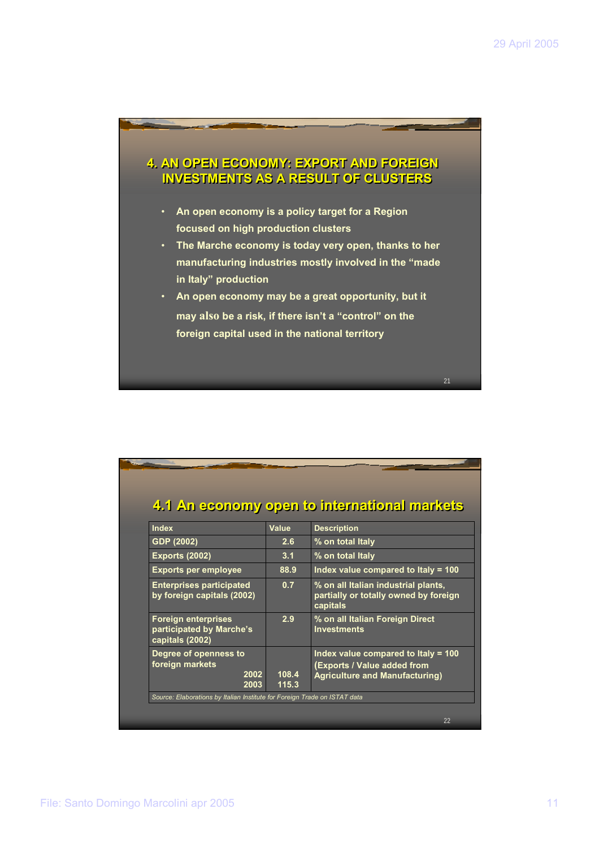#### **4. AN OPEN ECONOMY: EXPORT AND FOREIGN 4. AN OPEN ECONOMY: EXPORT AND FOREIGN INVESTMENTS AS A RESULT OF CLUSTERS INVESTMENTS AS A RESULT OF CLUSTERS**

- **An open economy is a policy target for a Region focused on high production clusters**
- **The Marche economy is today very open, thanks to her manufacturing industries mostly involved in the "made in Italy" production**
- **An open economy may be a great opportunity, but it may also be a risk, if there isn't a "control" on the foreign capital used in the national territory**

| <b>Index</b>                                                              | Value | <b>Description</b>                                                                                          |
|---------------------------------------------------------------------------|-------|-------------------------------------------------------------------------------------------------------------|
| GDP (2002)                                                                | 2.6   | % on total Italy                                                                                            |
| <b>Exports (2002)</b>                                                     | 3.1   | % on total Italy                                                                                            |
| <b>Exports per employee</b>                                               | 88.9  | Index value compared to Italy = $100$                                                                       |
| <b>Enterprises participated</b><br>by foreign capitals (2002)             | 0.7   | % on all Italian industrial plants,<br>partially or totally owned by foreign<br>capitals                    |
| <b>Foreign enterprises</b><br>participated by Marche's<br>capitals (2002) | 2.9   | % on all Italian Foreign Direct<br><b>Investments</b>                                                       |
| Degree of openness to<br>foreign markets<br>2002                          | 108.4 | Index value compared to Italy = 100<br>(Exports / Value added from<br><b>Agriculture and Manufacturing)</b> |
| 2003                                                                      | 115.3 |                                                                                                             |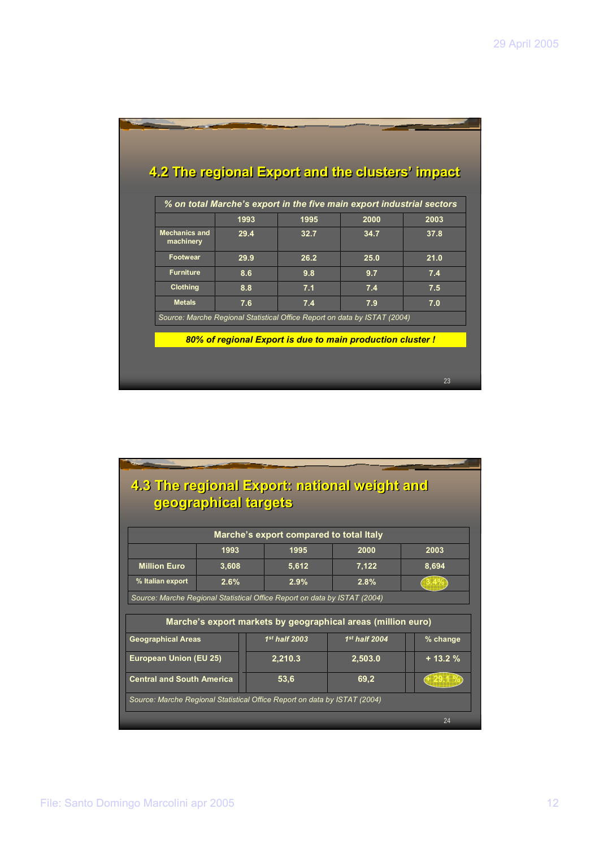|                                   | 1993 | % on total Marche's export in the five main export industrial sectors<br>1995 | 2000 | 2003 |
|-----------------------------------|------|-------------------------------------------------------------------------------|------|------|
| <b>Mechanics and</b><br>machinery | 29.4 | 32.7                                                                          | 34.7 | 37.8 |
| <b>Footwear</b>                   | 29.9 | 26.2                                                                          | 25.0 | 21.0 |
| <b>Furniture</b>                  | 8.6  | 9.8                                                                           | 9.7  | 7.4  |
| <b>Clothing</b>                   | 8.8  | 7.1                                                                           | 7.4  | 7.5  |
| <b>Metals</b>                     | 7.6  | 7.4                                                                           | 7.9  | 7.0  |
|                                   |      | Source: Marche Regional Statistical Office Report on data by ISTAT (2004)     |      |      |

|                                                                           | siephrail labinquiquels |      |                 | 4.3 The regional Export: national weight and                 |          |
|---------------------------------------------------------------------------|-------------------------|------|-----------------|--------------------------------------------------------------|----------|
|                                                                           |                         |      |                 | Marche's export compared to total Italy                      |          |
|                                                                           | 1993                    | 1995 |                 | 2000                                                         | 2003     |
| <b>Million Euro</b>                                                       | 3,608                   |      | 5,612           | 7,122                                                        | 8,694    |
| % Italian export                                                          | 2.6%                    |      | 2.9%            | 2.8%                                                         |          |
| Source: Marche Regional Statistical Office Report on data by ISTAT (2004) |                         |      |                 |                                                              |          |
|                                                                           |                         |      |                 | Marche's export markets by geographical areas (million euro) |          |
| <b>Geographical Areas</b>                                                 |                         |      | $1st$ half 2003 | $1st$ half 2004                                              | % change |
| <b>European Union (EU 25)</b>                                             |                         |      | 2,210.3         | 2,503.0                                                      | $+13.2%$ |
| <b>Central and South America</b>                                          |                         |      | 53,6            | 69,2                                                         | 429.1%   |
| Source: Marche Regional Statistical Office Report on data by ISTAT (2004) |                         |      |                 |                                                              |          |
|                                                                           |                         |      |                 |                                                              | 24       |

## File: Santo Domingo Marcolini apr 2005 12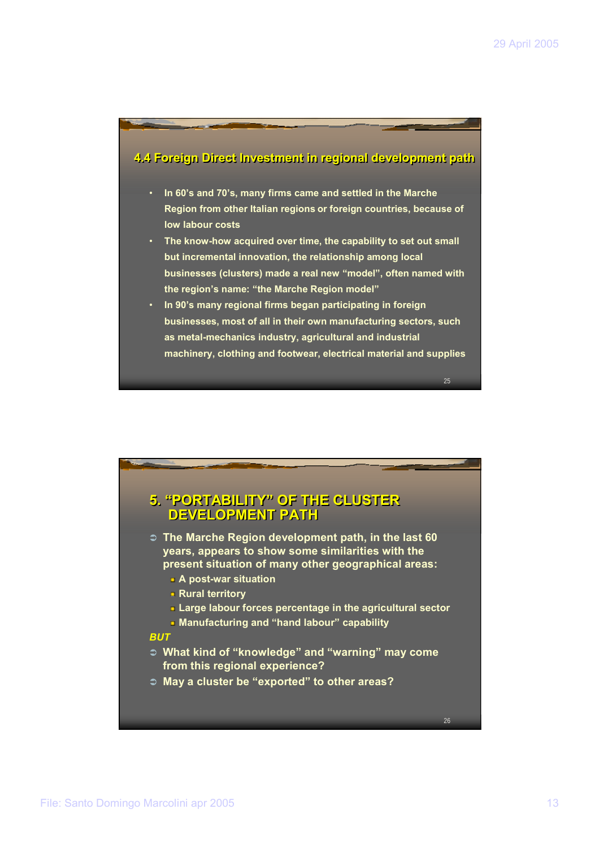# **4.4 Foreign Direct Investment in regional development path 4.4 Foreign Direct Investment in regional development path** • **In 60's and 70's, many firms came and settled in the Marche Region from other Italian regions or foreign countries, because of low labour costs** • **The know-how acquired over time, the capability to set out small but incremental innovation, the relationship among local businesses (clusters) made a real new "model", often named with the region's name: "the Marche Region model"** • **In 90's many regional firms began participating in foreign businesses, most of all in their own manufacturing sectors, such as metal-mechanics industry, agricultural and industrial machinery, clothing and footwear, electrical material and supplies**

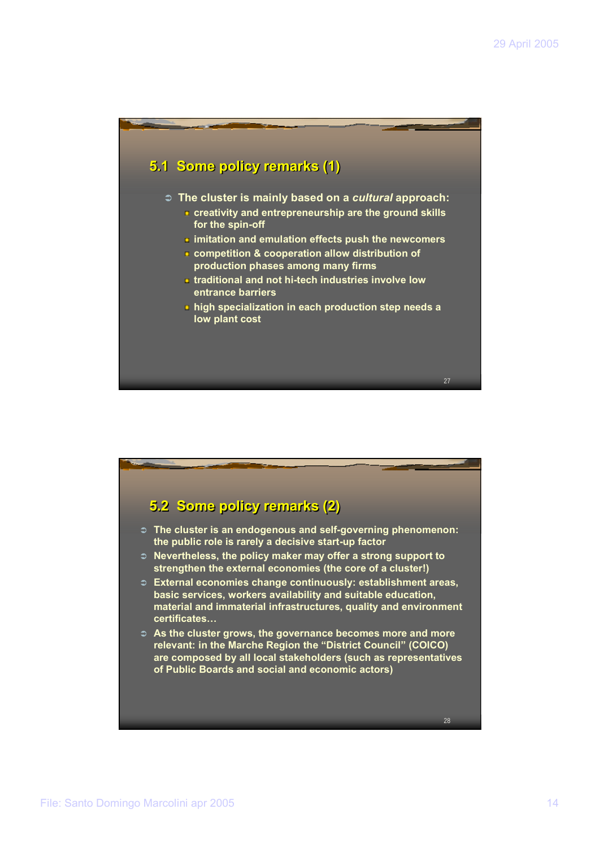

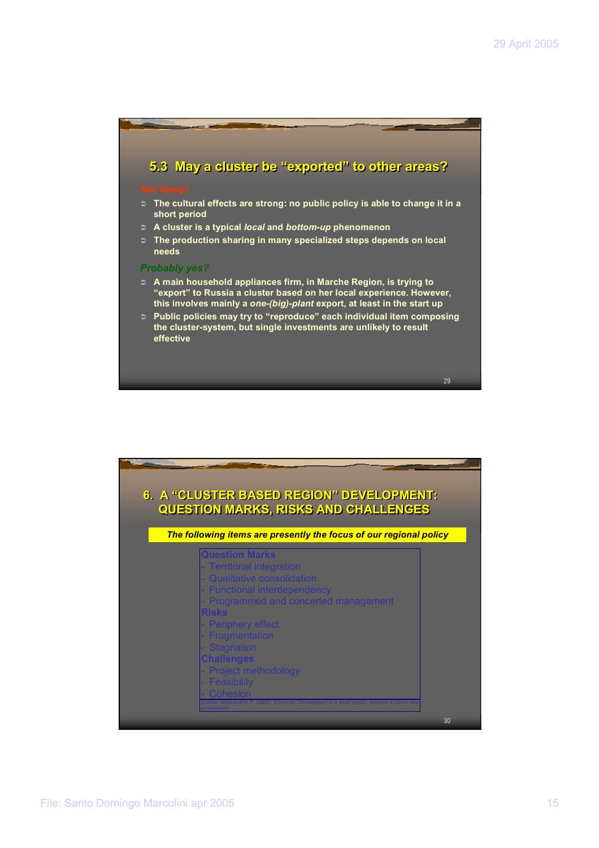